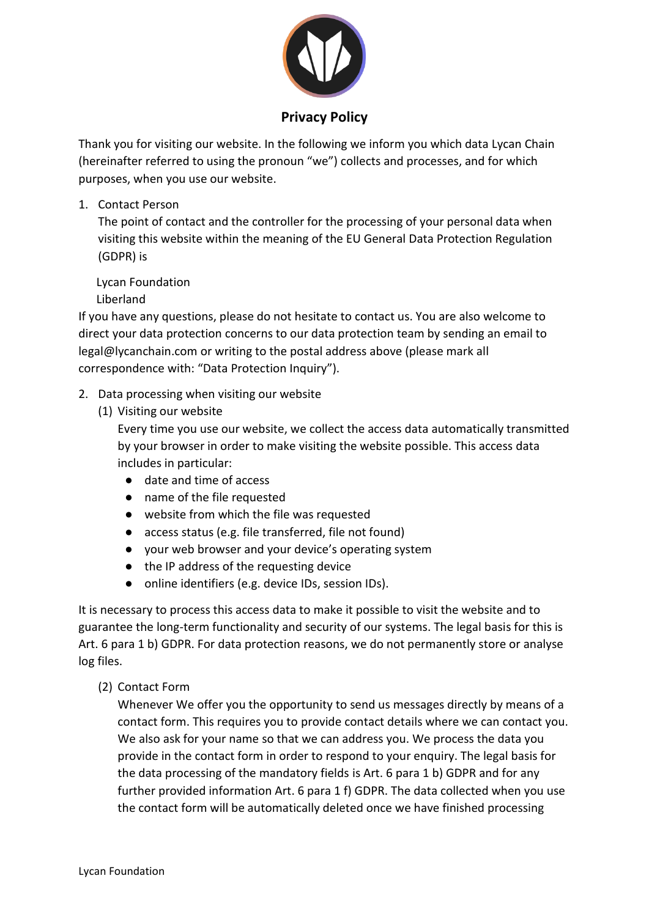

## **Privacy Policy**

Thank you for visiting our website. In the following we inform you which data Lycan Chain (hereinafter referred to using the pronoun "we") collects and processes, and for which purposes, when you use our website.

1. Contact Person

The point of contact and the controller for the processing of your personal data when visiting this website within the meaning of the EU General Data Protection Regulation (GDPR) is

Lycan Foundation

Liberland

If you have any questions, please do not hesitate to contact us. You are also welcome to direct your data protection concerns to our data protection team by sending an email to legal@lycanchain.com or writing to the postal address above (please mark all correspondence with: "Data Protection Inquiry").

- 2. Data processing when visiting our website
	- (1) Visiting our website

Every time you use our website, we collect the access data automatically transmitted by your browser in order to make visiting the website possible. This access data includes in particular:

- date and time of access
- name of the file requested
- website from which the file was requested
- access status (e.g. file transferred, file not found)
- your web browser and your device's operating system
- the IP address of the requesting device
- online identifiers (e.g. device IDs, session IDs).

It is necessary to process this access data to make it possible to visit the website and to guarantee the long-term functionality and security of our systems. The legal basis for this is Art. 6 para 1 b) GDPR. For data protection reasons, we do not permanently store or analyse log files.

(2) Contact Form

Whenever We offer you the opportunity to send us messages directly by means of a contact form. This requires you to provide contact details where we can contact you. We also ask for your name so that we can address you. We process the data you provide in the contact form in order to respond to your enquiry. The legal basis for the data processing of the mandatory fields is Art. 6 para 1 b) GDPR and for any further provided information Art. 6 para 1 f) GDPR. The data collected when you use the contact form will be automatically deleted once we have finished processing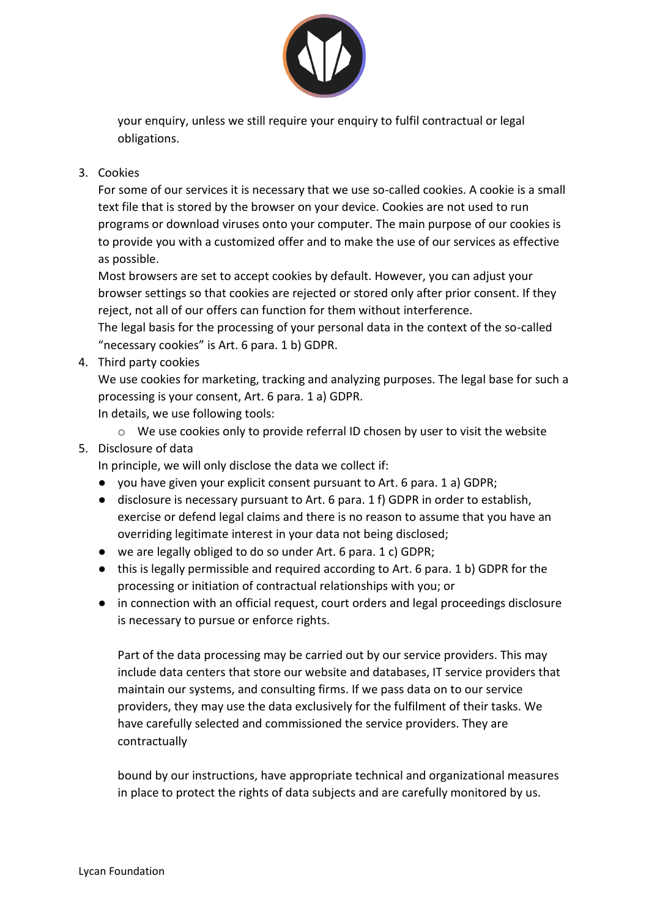

your enquiry, unless we still require your enquiry to fulfil contractual or legal obligations.

## 3. Cookies

For some of our services it is necessary that we use so-called cookies. A cookie is a small text file that is stored by the browser on your device. Cookies are not used to run programs or download viruses onto your computer. The main purpose of our cookies is to provide you with a customized offer and to make the use of our services as effective as possible.

Most browsers are set to accept cookies by default. However, you can adjust your browser settings so that cookies are rejected or stored only after prior consent. If they reject, not all of our offers can function for them without interference.

The legal basis for the processing of your personal data in the context of the so-called "necessary cookies" is Art. 6 para. 1 b) GDPR.

4. Third party cookies

We use cookies for marketing, tracking and analyzing purposes. The legal base for such a processing is your consent, Art. 6 para. 1 a) GDPR. In details, we use following tools:

 $\circ$  We use cookies only to provide referral ID chosen by user to visit the website

## 5. Disclosure of data

In principle, we will only disclose the data we collect if:

- you have given your explicit consent pursuant to Art. 6 para. 1 a) GDPR;
- disclosure is necessary pursuant to Art. 6 para. 1 f) GDPR in order to establish, exercise or defend legal claims and there is no reason to assume that you have an overriding legitimate interest in your data not being disclosed;
- we are legally obliged to do so under Art. 6 para. 1 c) GDPR;
- this is legally permissible and required according to Art. 6 para. 1 b) GDPR for the processing or initiation of contractual relationships with you; or
- in connection with an official request, court orders and legal proceedings disclosure is necessary to pursue or enforce rights.

Part of the data processing may be carried out by our service providers. This may include data centers that store our website and databases, IT service providers that maintain our systems, and consulting firms. If we pass data on to our service providers, they may use the data exclusively for the fulfilment of their tasks. We have carefully selected and commissioned the service providers. They are contractually

bound by our instructions, have appropriate technical and organizational measures in place to protect the rights of data subjects and are carefully monitored by us.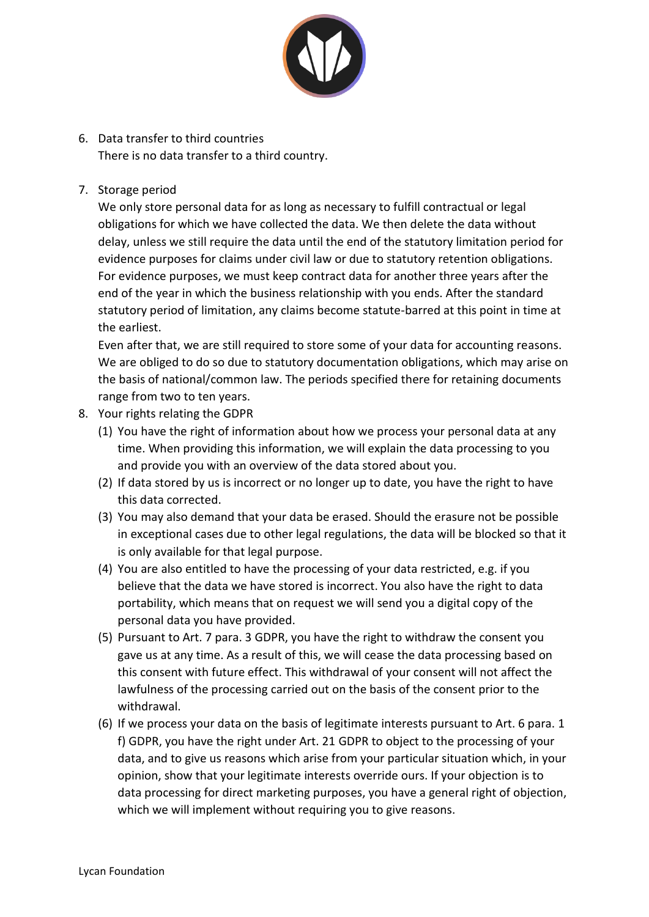

- 6. Data transfer to third countries There is no data transfer to a third country.
- 7. Storage period

We only store personal data for as long as necessary to fulfill contractual or legal obligations for which we have collected the data. We then delete the data without delay, unless we still require the data until the end of the statutory limitation period for evidence purposes for claims under civil law or due to statutory retention obligations. For evidence purposes, we must keep contract data for another three years after the end of the year in which the business relationship with you ends. After the standard statutory period of limitation, any claims become statute-barred at this point in time at the earliest.

Even after that, we are still required to store some of your data for accounting reasons. We are obliged to do so due to statutory documentation obligations, which may arise on the basis of national/common law. The periods specified there for retaining documents range from two to ten years.

- 8. Your rights relating the GDPR
	- (1) You have the right of information about how we process your personal data at any time. When providing this information, we will explain the data processing to you and provide you with an overview of the data stored about you.
	- (2) If data stored by us is incorrect or no longer up to date, you have the right to have this data corrected.
	- (3) You may also demand that your data be erased. Should the erasure not be possible in exceptional cases due to other legal regulations, the data will be blocked so that it is only available for that legal purpose.
	- (4) You are also entitled to have the processing of your data restricted, e.g. if you believe that the data we have stored is incorrect. You also have the right to data portability, which means that on request we will send you a digital copy of the personal data you have provided.
	- (5) Pursuant to Art. 7 para. 3 GDPR, you have the right to withdraw the consent you gave us at any time. As a result of this, we will cease the data processing based on this consent with future effect. This withdrawal of your consent will not affect the lawfulness of the processing carried out on the basis of the consent prior to the withdrawal.
	- (6) If we process your data on the basis of legitimate interests pursuant to Art. 6 para. 1 f) GDPR, you have the right under Art. 21 GDPR to object to the processing of your data, and to give us reasons which arise from your particular situation which, in your opinion, show that your legitimate interests override ours. If your objection is to data processing for direct marketing purposes, you have a general right of objection, which we will implement without requiring you to give reasons.